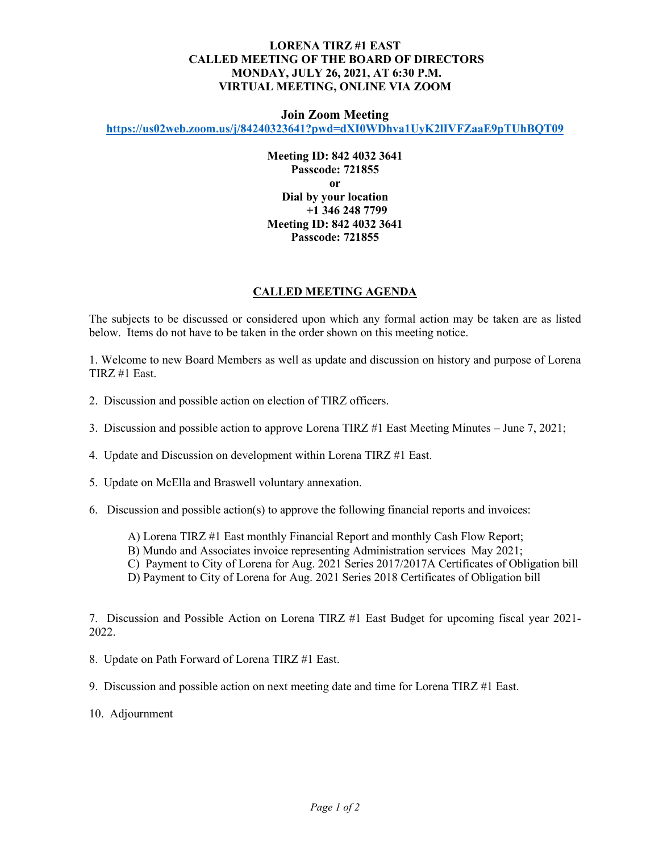## **LORENA TIRZ #1 EAST CALLED MEETING OF THE BOARD OF DIRECTORS MONDAY, JULY 26, 2021, AT 6:30 P.M. VIRTUAL MEETING, ONLINE VIA ZOOM**

## **Join Zoom Meeting**

**<https://us02web.zoom.us/j/84240323641?pwd=dXI0WDhva1UyK2lIVFZaaE9pTUhBQT09>**

**Meeting ID: 842 4032 3641 Passcode: 721855 or Dial by your location +1 346 248 7799 Meeting ID: 842 4032 3641 Passcode: 721855**

## **CALLED MEETING AGENDA**

The subjects to be discussed or considered upon which any formal action may be taken are as listed below. Items do not have to be taken in the order shown on this meeting notice.

1. Welcome to new Board Members as well as update and discussion on history and purpose of Lorena TIRZ #1 East.

- 2. Discussion and possible action on election of TIRZ officers.
- 3. Discussion and possible action to approve Lorena TIRZ #1 East Meeting Minutes June 7, 2021;
- 4. Update and Discussion on development within Lorena TIRZ #1 East.
- 5. Update on McElla and Braswell voluntary annexation.
- 6. Discussion and possible action(s) to approve the following financial reports and invoices:
	- A) Lorena TIRZ #1 East monthly Financial Report and monthly Cash Flow Report;
	- B) Mundo and Associates invoice representing Administration services May 2021;
	- C) Payment to City of Lorena for Aug. 2021 Series 2017/2017A Certificates of Obligation bill
	- D) Payment to City of Lorena for Aug. 2021 Series 2018 Certificates of Obligation bill

7. Discussion and Possible Action on Lorena TIRZ #1 East Budget for upcoming fiscal year 2021- 2022.

8. Update on Path Forward of Lorena TIRZ #1 East.

9. Discussion and possible action on next meeting date and time for Lorena TIRZ #1 East.

10. Adjournment